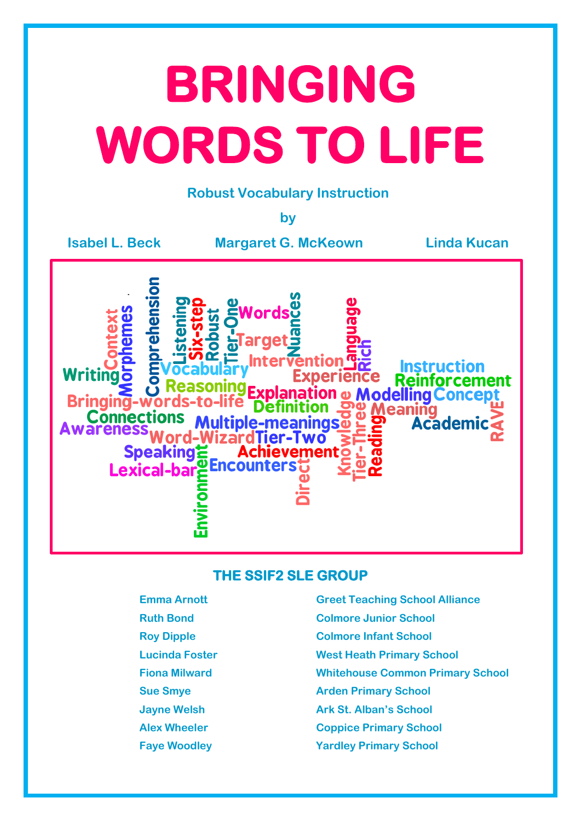# **BRINGING WORDS TO LIFE**

## **Robust Vocabulary Instruction**

**by**

**Isabel L. Beck Margaret G. McKeown Linda Kucan**



## **THE SSIF2 SLE GROUP**

- 
- 
- 
- 
- 
- 
- 
- 
- **Emma Arnott Greet Teaching School Alliance Ruth Bond Colmore Junior School Roy Dipple Colmore Infant School Lucinda Foster West Heath Primary School Fiona Milward Whitehouse Common Primary School Sue Smye Arden Primary School Jayne Welsh Ark St. Alban's School Alex Wheeler Coppice Primary School Faye Woodley Yardley Primary School**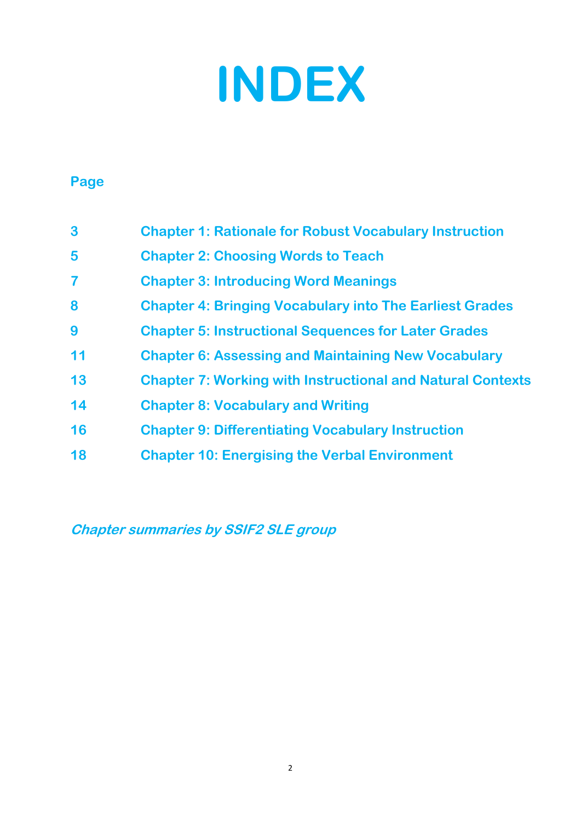

# **Page**

| 3                       | <b>Chapter 1: Rationale for Robust Vocabulary Instruction</b>     |  |
|-------------------------|-------------------------------------------------------------------|--|
| 5                       | <b>Chapter 2: Choosing Words to Teach</b>                         |  |
| $\overline{\mathbf{7}}$ | <b>Chapter 3: Introducing Word Meanings</b>                       |  |
| 8                       | <b>Chapter 4: Bringing Vocabulary into The Earliest Grades</b>    |  |
| 9                       | <b>Chapter 5: Instructional Sequences for Later Grades</b>        |  |
| 11                      | <b>Chapter 6: Assessing and Maintaining New Vocabulary</b>        |  |
| 13                      | <b>Chapter 7: Working with Instructional and Natural Contexts</b> |  |
| 14                      | <b>Chapter 8: Vocabulary and Writing</b>                          |  |
| 16                      | <b>Chapter 9: Differentiating Vocabulary Instruction</b>          |  |
| 18                      | <b>Chapter 10: Energising the Verbal Environment</b>              |  |

**Chapter summaries by SSIF2 SLE group**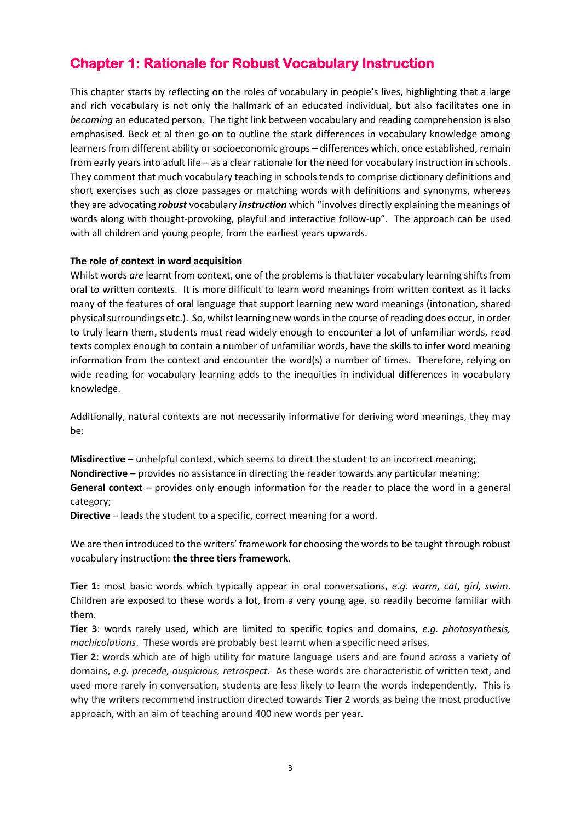## **Chapter 1: Rationale for Robust Vocabulary Instruction**

This chapter starts by reflecting on the roles of vocabulary in people's lives, highlighting that a large and rich vocabulary is not only the hallmark of an educated individual, but also facilitates one in *becoming* an educated person. The tight link between vocabulary and reading comprehension is also emphasised. Beck et al then go on to outline the stark differences in vocabulary knowledge among learners from different ability or socioeconomic groups – differences which, once established, remain from early years into adult life – as a clear rationale for the need for vocabulary instruction in schools. They comment that much vocabulary teaching in schools tends to comprise dictionary definitions and short exercises such as cloze passages or matching words with definitions and synonyms, whereas they are advocating *robust* vocabulary *instruction* which "involves directly explaining the meanings of words along with thought-provoking, playful and interactive follow-up". The approach can be used with all children and young people, from the earliest years upwards.

## **The role of context in word acquisition**

Whilst words *are* learnt from context, one of the problems is that later vocabulary learning shifts from oral to written contexts. It is more difficult to learn word meanings from written context as it lacks many of the features of oral language that support learning new word meanings (intonation, shared physical surroundings etc.). So, whilst learning new words in the course of reading does occur, in order to truly learn them, students must read widely enough to encounter a lot of unfamiliar words, read texts complex enough to contain a number of unfamiliar words, have the skills to infer word meaning information from the context and encounter the word(s) a number of times. Therefore, relying on wide reading for vocabulary learning adds to the inequities in individual differences in vocabulary knowledge.

Additionally, natural contexts are not necessarily informative for deriving word meanings, they may be:

**Misdirective** – unhelpful context, which seems to direct the student to an incorrect meaning; **Nondirective** – provides no assistance in directing the reader towards any particular meaning; **General context** – provides only enough information for the reader to place the word in a general category;

**Directive** – leads the student to a specific, correct meaning for a word.

We are then introduced to the writers' framework for choosing the words to be taught through robust vocabulary instruction: **the three tiers framework**.

**Tier 1:** most basic words which typically appear in oral conversations, *e.g. warm, cat, girl, swim*. Children are exposed to these words a lot, from a very young age, so readily become familiar with them.

**Tier 3**: words rarely used, which are limited to specific topics and domains, *e.g. photosynthesis, machicolations*. These words are probably best learnt when a specific need arises.

**Tier 2**: words which are of high utility for mature language users and are found across a variety of domains, *e.g. precede, auspicious, retrospect*. As these words are characteristic of written text, and used more rarely in conversation, students are less likely to learn the words independently. This is why the writers recommend instruction directed towards **Tier 2** words as being the most productive approach, with an aim of teaching around 400 new words per year.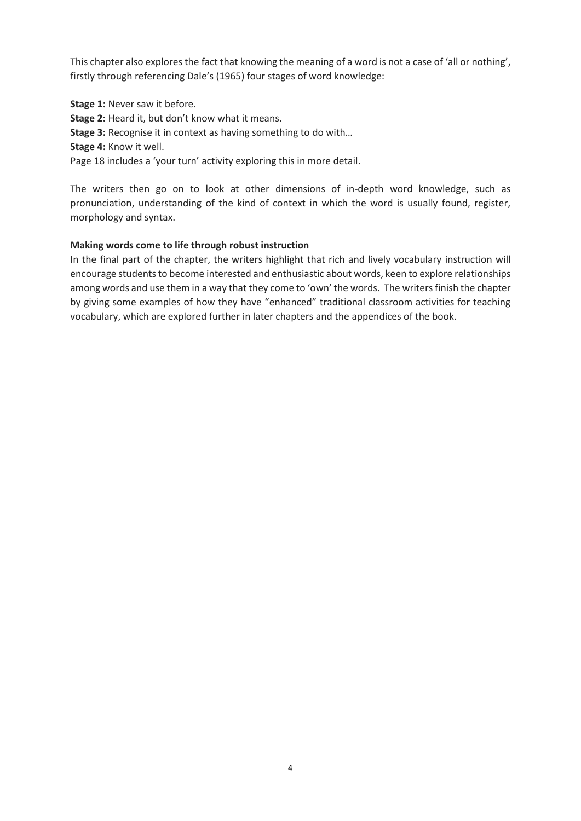This chapter also explores the fact that knowing the meaning of a word is not a case of 'all or nothing', firstly through referencing Dale's (1965) four stages of word knowledge:

**Stage 1:** Never saw it before. **Stage 2:** Heard it, but don't know what it means. **Stage 3:** Recognise it in context as having something to do with… **Stage 4:** Know it well. Page 18 includes a 'your turn' activity exploring this in more detail.

The writers then go on to look at other dimensions of in-depth word knowledge, such as pronunciation, understanding of the kind of context in which the word is usually found, register, morphology and syntax.

## **Making words come to life through robust instruction**

In the final part of the chapter, the writers highlight that rich and lively vocabulary instruction will encourage students to become interested and enthusiastic about words, keen to explore relationships among words and use them in a way that they come to 'own' the words. The writers finish the chapter by giving some examples of how they have "enhanced" traditional classroom activities for teaching vocabulary, which are explored further in later chapters and the appendices of the book.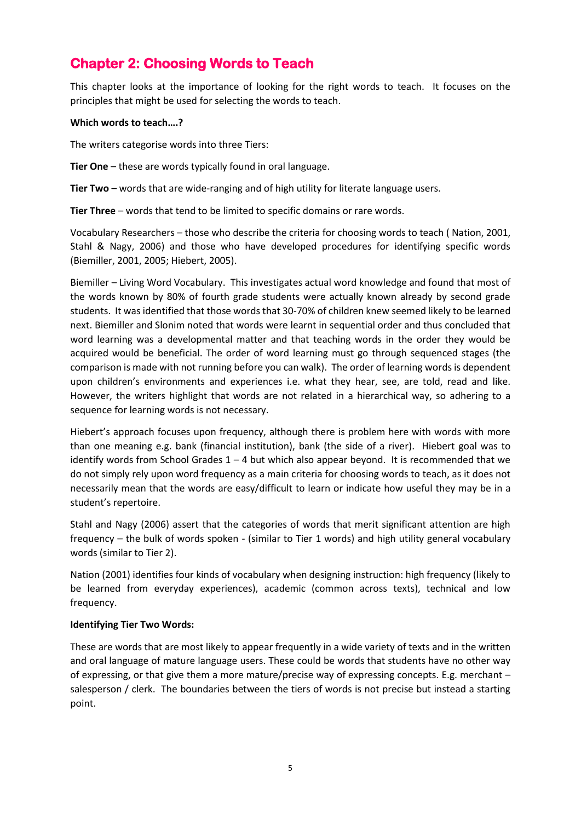## **Chapter 2: Choosing Words to Teach**

This chapter looks at the importance of looking for the right words to teach. It focuses on the principles that might be used for selecting the words to teach.

## **Which words to teach….?**

The writers categorise words into three Tiers:

**Tier One** – these are words typically found in oral language.

**Tier Two** – words that are wide-ranging and of high utility for literate language users.

**Tier Three** – words that tend to be limited to specific domains or rare words.

Vocabulary Researchers – those who describe the criteria for choosing words to teach ( Nation, 2001, Stahl & Nagy, 2006) and those who have developed procedures for identifying specific words (Biemiller, 2001, 2005; Hiebert, 2005).

Biemiller – Living Word Vocabulary. This investigates actual word knowledge and found that most of the words known by 80% of fourth grade students were actually known already by second grade students. It was identified that those words that 30-70% of children knew seemed likely to be learned next. Biemiller and Slonim noted that words were learnt in sequential order and thus concluded that word learning was a developmental matter and that teaching words in the order they would be acquired would be beneficial. The order of word learning must go through sequenced stages (the comparison is made with not running before you can walk). The order of learning words is dependent upon children's environments and experiences i.e. what they hear, see, are told, read and like. However, the writers highlight that words are not related in a hierarchical way, so adhering to a sequence for learning words is not necessary.

Hiebert's approach focuses upon frequency, although there is problem here with words with more than one meaning e.g. bank (financial institution), bank (the side of a river). Hiebert goal was to identify words from School Grades  $1 - 4$  but which also appear beyond. It is recommended that we do not simply rely upon word frequency as a main criteria for choosing words to teach, as it does not necessarily mean that the words are easy/difficult to learn or indicate how useful they may be in a student's repertoire.

Stahl and Nagy (2006) assert that the categories of words that merit significant attention are high frequency – the bulk of words spoken - (similar to Tier 1 words) and high utility general vocabulary words (similar to Tier 2).

Nation (2001) identifies four kinds of vocabulary when designing instruction: high frequency (likely to be learned from everyday experiences), academic (common across texts), technical and low frequency.

#### **Identifying Tier Two Words:**

These are words that are most likely to appear frequently in a wide variety of texts and in the written and oral language of mature language users. These could be words that students have no other way of expressing, or that give them a more mature/precise way of expressing concepts. E.g. merchant – salesperson / clerk. The boundaries between the tiers of words is not precise but instead a starting point.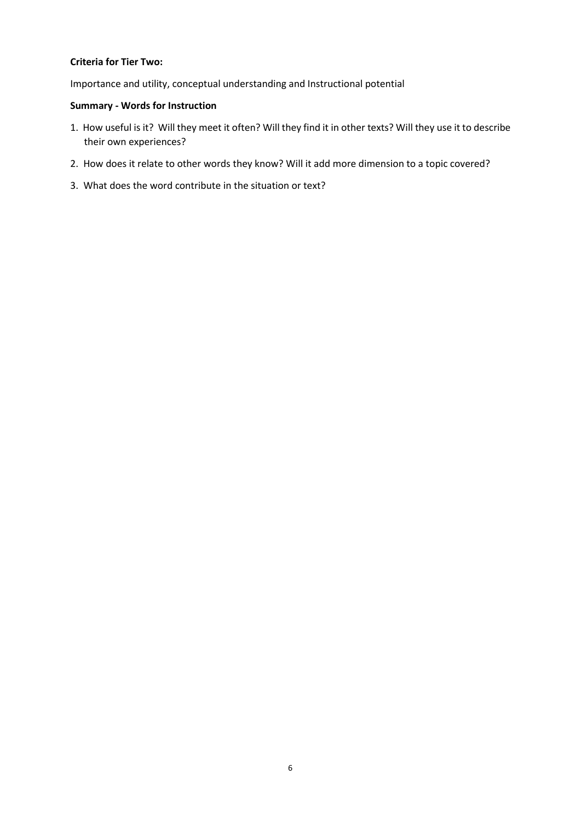#### **Criteria for Tier Two:**

Importance and utility, conceptual understanding and Instructional potential

## **Summary - Words for Instruction**

- 1. How useful is it? Will they meet it often? Will they find it in other texts? Will they use it to describe their own experiences?
- 2. How does it relate to other words they know? Will it add more dimension to a topic covered?
- 3. What does the word contribute in the situation or text?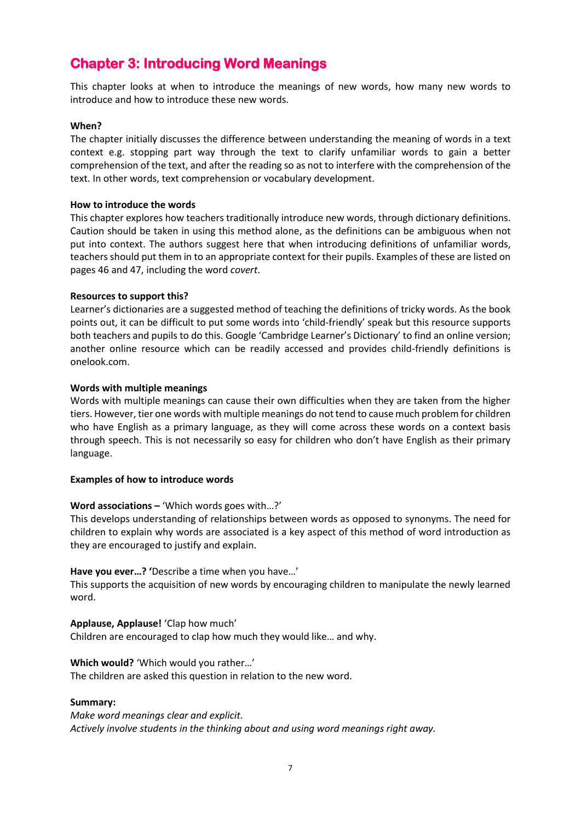## **Chapter 3: Introducing Word Meanings**

This chapter looks at when to introduce the meanings of new words, how many new words to introduce and how to introduce these new words.

#### **When?**

The chapter initially discusses the difference between understanding the meaning of words in a text context e.g. stopping part way through the text to clarify unfamiliar words to gain a better comprehension of the text, and after the reading so as not to interfere with the comprehension of the text. In other words, text comprehension or vocabulary development.

#### **How to introduce the words**

This chapter explores how teachers traditionally introduce new words, through dictionary definitions. Caution should be taken in using this method alone, as the definitions can be ambiguous when not put into context. The authors suggest here that when introducing definitions of unfamiliar words, teachers should put them in to an appropriate context for their pupils. Examples of these are listed on pages 46 and 47, including the word *covert*.

#### **Resources to support this?**

Learner's dictionaries are a suggested method of teaching the definitions of tricky words. As the book points out, it can be difficult to put some words into 'child-friendly' speak but this resource supports both teachers and pupils to do this. Google 'Cambridge Learner's Dictionary' to find an online version; another online resource which can be readily accessed and provides child-friendly definitions is onelook.com.

#### **Words with multiple meanings**

Words with multiple meanings can cause their own difficulties when they are taken from the higher tiers. However, tier one words with multiple meanings do not tend to cause much problem for children who have English as a primary language, as they will come across these words on a context basis through speech. This is not necessarily so easy for children who don't have English as their primary language.

#### **Examples of how to introduce words**

#### **Word associations –** 'Which words goes with…?'

This develops understanding of relationships between words as opposed to synonyms. The need for children to explain why words are associated is a key aspect of this method of word introduction as they are encouraged to justify and explain.

#### **Have you ever…? '**Describe a time when you have…'

This supports the acquisition of new words by encouraging children to manipulate the newly learned word.

#### **Applause, Applause!** 'Clap how much'

Children are encouraged to clap how much they would like… and why.

#### **Which would?** 'Which would you rather…'

The children are asked this question in relation to the new word.

#### **Summary:**

*Make word meanings clear and explicit. Actively involve students in the thinking about and using word meanings right away.*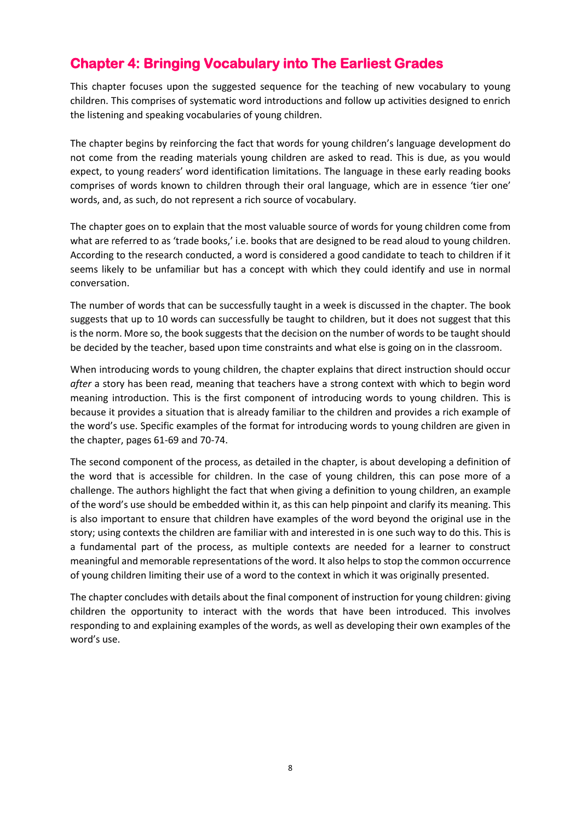## **Chapter 4: Bringing Vocabulary into The Earliest Grades**

This chapter focuses upon the suggested sequence for the teaching of new vocabulary to young children. This comprises of systematic word introductions and follow up activities designed to enrich the listening and speaking vocabularies of young children.

The chapter begins by reinforcing the fact that words for young children's language development do not come from the reading materials young children are asked to read. This is due, as you would expect, to young readers' word identification limitations. The language in these early reading books comprises of words known to children through their oral language, which are in essence 'tier one' words, and, as such, do not represent a rich source of vocabulary.

The chapter goes on to explain that the most valuable source of words for young children come from what are referred to as 'trade books,' i.e. books that are designed to be read aloud to young children. According to the research conducted, a word is considered a good candidate to teach to children if it seems likely to be unfamiliar but has a concept with which they could identify and use in normal conversation.

The number of words that can be successfully taught in a week is discussed in the chapter. The book suggests that up to 10 words can successfully be taught to children, but it does not suggest that this is the norm. More so, the book suggests that the decision on the number of words to be taught should be decided by the teacher, based upon time constraints and what else is going on in the classroom.

When introducing words to young children, the chapter explains that direct instruction should occur *after* a story has been read, meaning that teachers have a strong context with which to begin word meaning introduction. This is the first component of introducing words to young children. This is because it provides a situation that is already familiar to the children and provides a rich example of the word's use. Specific examples of the format for introducing words to young children are given in the chapter, pages 61-69 and 70-74.

The second component of the process, as detailed in the chapter, is about developing a definition of the word that is accessible for children. In the case of young children, this can pose more of a challenge. The authors highlight the fact that when giving a definition to young children, an example of the word's use should be embedded within it, as this can help pinpoint and clarify its meaning. This is also important to ensure that children have examples of the word beyond the original use in the story; using contexts the children are familiar with and interested in is one such way to do this. This is a fundamental part of the process, as multiple contexts are needed for a learner to construct meaningful and memorable representations of the word. It also helps to stop the common occurrence of young children limiting their use of a word to the context in which it was originally presented.

The chapter concludes with details about the final component of instruction for young children: giving children the opportunity to interact with the words that have been introduced. This involves responding to and explaining examples of the words, as well as developing their own examples of the word's use.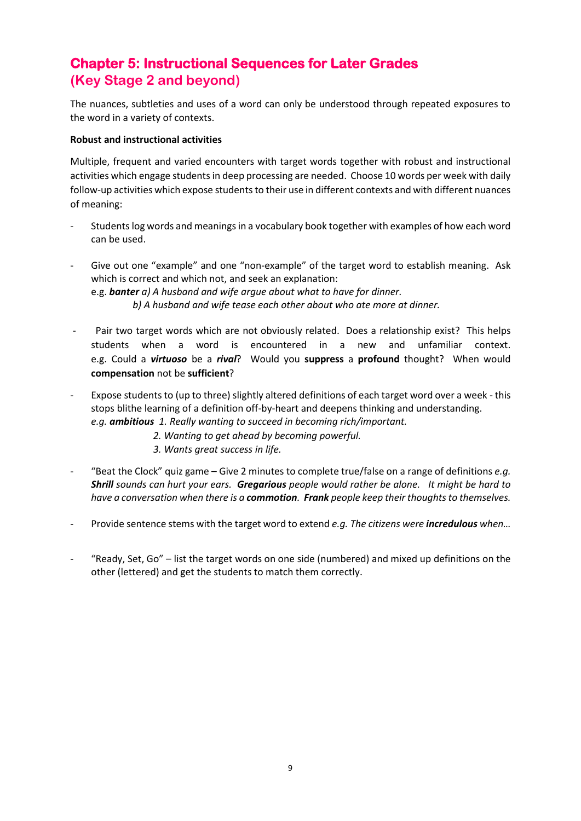# **Chapter 5: Instructional Sequences for Later Grades (Key Stage 2 and beyond)**

The nuances, subtleties and uses of a word can only be understood through repeated exposures to the word in a variety of contexts.

## **Robust and instructional activities**

Multiple, frequent and varied encounters with target words together with robust and instructional activities which engage students in deep processing are needed. Choose 10 words per week with daily follow-up activities which expose students to their use in different contexts and with different nuances of meaning:

- Students log words and meanings in a vocabulary book together with examples of how each word can be used.
- Give out one "example" and one "non-example" of the target word to establish meaning. Ask which is correct and which not, and seek an explanation: e.g. *banter a) A husband and wife argue about what to have for dinner. b) A husband and wife tease each other about who ate more at dinner.*
- Pair two target words which are not obviously related. Does a relationship exist? This helps students when a word is encountered in a new and unfamiliar context. e.g. Could a *virtuoso* be a *rival*? Would you **suppress** a **profound** thought? When would **compensation** not be **sufficient**?
- Expose students to (up to three) slightly altered definitions of each target word over a week this stops blithe learning of a definition off-by-heart and deepens thinking and understanding. *e.g. ambitious 1. Really wanting to succeed in becoming rich/important.* 
	- *2. Wanting to get ahead by becoming powerful.*
	- *3. Wants great success in life.*
- "Beat the Clock" quiz game Give 2 minutes to complete true/false on a range of definitions *e.g. Shrill sounds can hurt your ears. Gregarious people would rather be alone. It might be hard to have a conversation when there is a commotion. Frank people keep their thoughts to themselves.*
- Provide sentence stems with the target word to extend *e.g. The citizens were incredulous when…*
- "Ready, Set, Go" list the target words on one side (numbered) and mixed up definitions on the other (lettered) and get the students to match them correctly.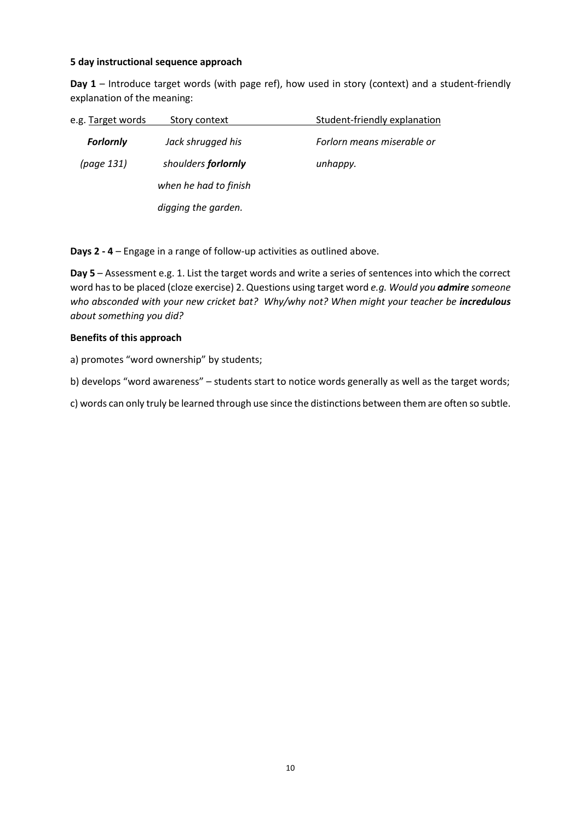#### **5 day instructional sequence approach**

**Day 1** – Introduce target words (with page ref), how used in story (context) and a student-friendly explanation of the meaning:

| e.g. Target words | Story context         | Student-friendly explanation |
|-------------------|-----------------------|------------------------------|
| <b>Forlornly</b>  | Jack shrugged his     | Forlorn means miserable or   |
| (page 131)        | shoulders forlornly   | unhappy.                     |
|                   | when he had to finish |                              |
|                   | digging the garden.   |                              |

**Days 2 - 4** – Engage in a range of follow-up activities as outlined above.

**Day 5** – Assessment e.g. 1. List the target words and write a series of sentences into which the correct word has to be placed (cloze exercise) 2. Questions using target word *e.g. Would you admire someone who absconded with your new cricket bat? Why/why not? When might your teacher be incredulous about something you did?*

#### **Benefits of this approach**

a) promotes "word ownership" by students;

b) develops "word awareness" – students start to notice words generally as well as the target words;

c) words can only truly be learned through use since the distinctions between them are often so subtle.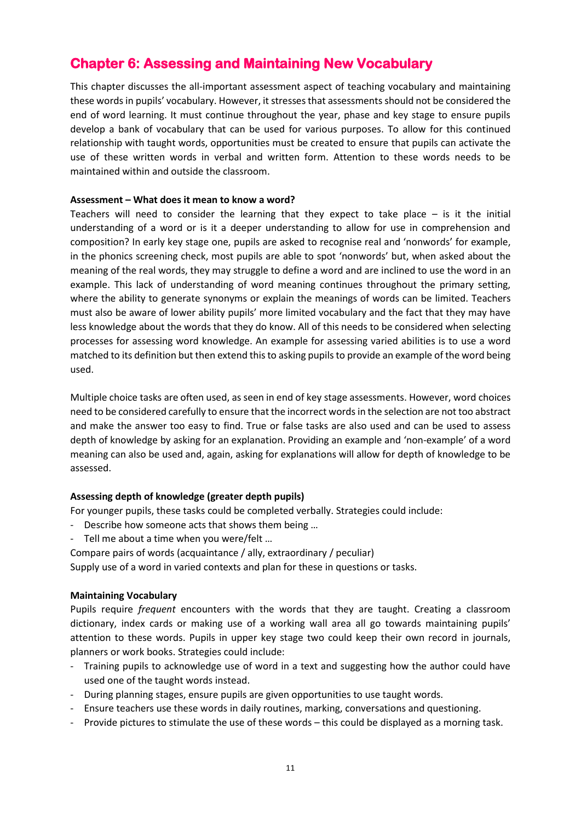## **Chapter 6: Assessing and Maintaining New Vocabulary**

This chapter discusses the all-important assessment aspect of teaching vocabulary and maintaining these words in pupils' vocabulary. However, it stresses that assessments should not be considered the end of word learning. It must continue throughout the year, phase and key stage to ensure pupils develop a bank of vocabulary that can be used for various purposes. To allow for this continued relationship with taught words, opportunities must be created to ensure that pupils can activate the use of these written words in verbal and written form. Attention to these words needs to be maintained within and outside the classroom.

#### **Assessment – What does it mean to know a word?**

Teachers will need to consider the learning that they expect to take place  $-$  is it the initial understanding of a word or is it a deeper understanding to allow for use in comprehension and composition? In early key stage one, pupils are asked to recognise real and 'nonwords' for example, in the phonics screening check, most pupils are able to spot 'nonwords' but, when asked about the meaning of the real words, they may struggle to define a word and are inclined to use the word in an example. This lack of understanding of word meaning continues throughout the primary setting, where the ability to generate synonyms or explain the meanings of words can be limited. Teachers must also be aware of lower ability pupils' more limited vocabulary and the fact that they may have less knowledge about the words that they do know. All of this needs to be considered when selecting processes for assessing word knowledge. An example for assessing varied abilities is to use a word matched to its definition but then extend this to asking pupils to provide an example of the word being used.

Multiple choice tasks are often used, as seen in end of key stage assessments. However, word choices need to be considered carefully to ensure that the incorrect words in the selection are not too abstract and make the answer too easy to find. True or false tasks are also used and can be used to assess depth of knowledge by asking for an explanation. Providing an example and 'non-example' of a word meaning can also be used and, again, asking for explanations will allow for depth of knowledge to be assessed.

#### **Assessing depth of knowledge (greater depth pupils)**

For younger pupils, these tasks could be completed verbally. Strategies could include:

- Describe how someone acts that shows them being …
- Tell me about a time when you were/felt …

Compare pairs of words (acquaintance / ally, extraordinary / peculiar)

Supply use of a word in varied contexts and plan for these in questions or tasks.

#### **Maintaining Vocabulary**

Pupils require *frequent* encounters with the words that they are taught. Creating a classroom dictionary, index cards or making use of a working wall area all go towards maintaining pupils' attention to these words. Pupils in upper key stage two could keep their own record in journals, planners or work books. Strategies could include:

- Training pupils to acknowledge use of word in a text and suggesting how the author could have used one of the taught words instead.
- During planning stages, ensure pupils are given opportunities to use taught words.
- Ensure teachers use these words in daily routines, marking, conversations and questioning.
- Provide pictures to stimulate the use of these words this could be displayed as a morning task.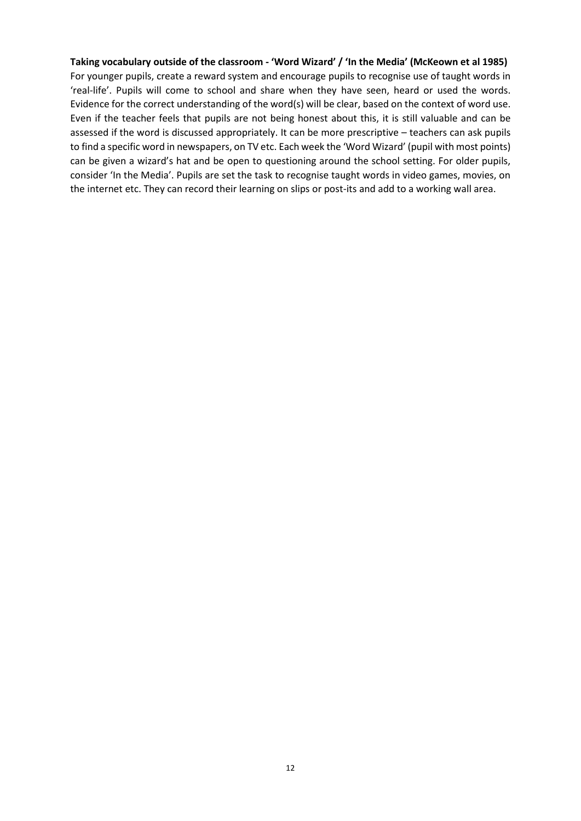#### **Taking vocabulary outside of the classroom - 'Word Wizard' / 'In the Media' (McKeown et al 1985)**

For younger pupils, create a reward system and encourage pupils to recognise use of taught words in 'real-life'. Pupils will come to school and share when they have seen, heard or used the words. Evidence for the correct understanding of the word(s) will be clear, based on the context of word use. Even if the teacher feels that pupils are not being honest about this, it is still valuable and can be assessed if the word is discussed appropriately. It can be more prescriptive – teachers can ask pupils to find a specific word in newspapers, on TV etc. Each week the 'Word Wizard' (pupil with most points) can be given a wizard's hat and be open to questioning around the school setting. For older pupils, consider 'In the Media'. Pupils are set the task to recognise taught words in video games, movies, on the internet etc. They can record their learning on slips or post-its and add to a working wall area.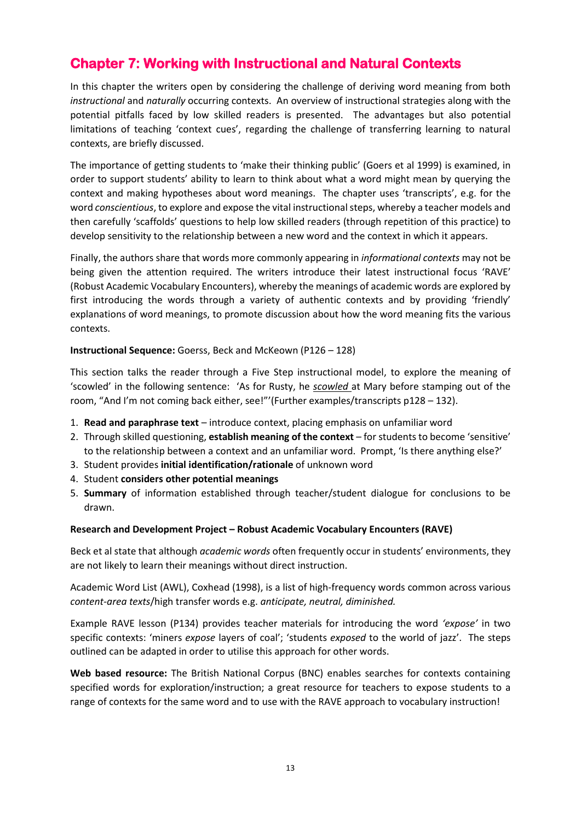# **Chapter 7: Working with Instructional and Natural Contexts**

In this chapter the writers open by considering the challenge of deriving word meaning from both *instructional* and *naturally* occurring contexts. An overview of instructional strategies along with the potential pitfalls faced by low skilled readers is presented. The advantages but also potential limitations of teaching 'context cues', regarding the challenge of transferring learning to natural contexts, are briefly discussed.

The importance of getting students to 'make their thinking public' (Goers et al 1999) is examined, in order to support students' ability to learn to think about what a word might mean by querying the context and making hypotheses about word meanings. The chapter uses 'transcripts', e.g. for the word *conscientious*, to explore and expose the vital instructional steps, whereby a teacher models and then carefully 'scaffolds' questions to help low skilled readers (through repetition of this practice) to develop sensitivity to the relationship between a new word and the context in which it appears.

Finally, the authors share that words more commonly appearing in *informational contexts* may not be being given the attention required. The writers introduce their latest instructional focus 'RAVE' (Robust Academic Vocabulary Encounters), whereby the meanings of academic words are explored by first introducing the words through a variety of authentic contexts and by providing 'friendly' explanations of word meanings, to promote discussion about how the word meaning fits the various contexts.

#### **Instructional Sequence:** Goerss, Beck and McKeown (P126 – 128)

This section talks the reader through a Five Step instructional model, to explore the meaning of 'scowled' in the following sentence: 'As for Rusty, he *scowled* at Mary before stamping out of the room, "And I'm not coming back either, see!"'(Further examples/transcripts p128 – 132).

- 1. **Read and paraphrase text** introduce context, placing emphasis on unfamiliar word
- 2. Through skilled questioning, **establish meaning of the context** for students to become 'sensitive' to the relationship between a context and an unfamiliar word. Prompt, 'Is there anything else?'
- 3. Student provides **initial identification/rationale** of unknown word
- 4. Student **considers other potential meanings**
- 5. **Summary** of information established through teacher/student dialogue for conclusions to be drawn.

#### **Research and Development Project – Robust Academic Vocabulary Encounters (RAVE)**

Beck et al state that although *academic words* often frequently occur in students' environments, they are not likely to learn their meanings without direct instruction.

Academic Word List (AWL), Coxhead (1998), is a list of high-frequency words common across various *content-area texts*/high transfer words e.g. *anticipate, neutral, diminished.*

Example RAVE lesson (P134) provides teacher materials for introducing the word *'expose'* in two specific contexts: 'miners *expose* layers of coal'; 'students *exposed* to the world of jazz'. The steps outlined can be adapted in order to utilise this approach for other words.

**Web based resource:** The British National Corpus (BNC) enables searches for contexts containing specified words for exploration/instruction; a great resource for teachers to expose students to a range of contexts for the same word and to use with the RAVE approach to vocabulary instruction!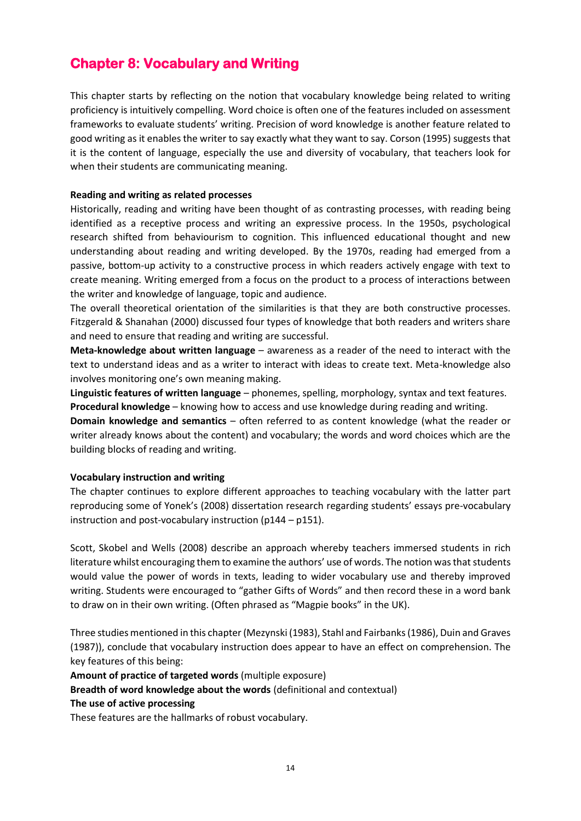## **Chapter 8: Vocabulary and Writing**

This chapter starts by reflecting on the notion that vocabulary knowledge being related to writing proficiency is intuitively compelling. Word choice is often one of the features included on assessment frameworks to evaluate students' writing. Precision of word knowledge is another feature related to good writing as it enables the writer to say exactly what they want to say. Corson (1995) suggests that it is the content of language, especially the use and diversity of vocabulary, that teachers look for when their students are communicating meaning.

## **Reading and writing as related processes**

Historically, reading and writing have been thought of as contrasting processes, with reading being identified as a receptive process and writing an expressive process. In the 1950s, psychological research shifted from behaviourism to cognition. This influenced educational thought and new understanding about reading and writing developed. By the 1970s, reading had emerged from a passive, bottom-up activity to a constructive process in which readers actively engage with text to create meaning. Writing emerged from a focus on the product to a process of interactions between the writer and knowledge of language, topic and audience.

The overall theoretical orientation of the similarities is that they are both constructive processes. Fitzgerald & Shanahan (2000) discussed four types of knowledge that both readers and writers share and need to ensure that reading and writing are successful.

**Meta-knowledge about written language** – awareness as a reader of the need to interact with the text to understand ideas and as a writer to interact with ideas to create text. Meta-knowledge also involves monitoring one's own meaning making.

**Linguistic features of written language** – phonemes, spelling, morphology, syntax and text features. **Procedural knowledge** – knowing how to access and use knowledge during reading and writing.

**Domain knowledge and semantics** – often referred to as content knowledge (what the reader or writer already knows about the content) and vocabulary; the words and word choices which are the building blocks of reading and writing.

#### **Vocabulary instruction and writing**

The chapter continues to explore different approaches to teaching vocabulary with the latter part reproducing some of Yonek's (2008) dissertation research regarding students' essays pre-vocabulary instruction and post-vocabulary instruction (p144 – p151).

Scott, Skobel and Wells (2008) describe an approach whereby teachers immersed students in rich literature whilst encouraging them to examine the authors' use of words. The notion was that students would value the power of words in texts, leading to wider vocabulary use and thereby improved writing. Students were encouraged to "gather Gifts of Words" and then record these in a word bank to draw on in their own writing. (Often phrased as "Magpie books" in the UK).

Three studies mentioned in this chapter (Mezynski (1983), Stahl and Fairbanks (1986), Duin and Graves (1987)), conclude that vocabulary instruction does appear to have an effect on comprehension. The key features of this being:

**Amount of practice of targeted words** (multiple exposure)

**Breadth of word knowledge about the words** (definitional and contextual)

#### **The use of active processing**

These features are the hallmarks of robust vocabulary.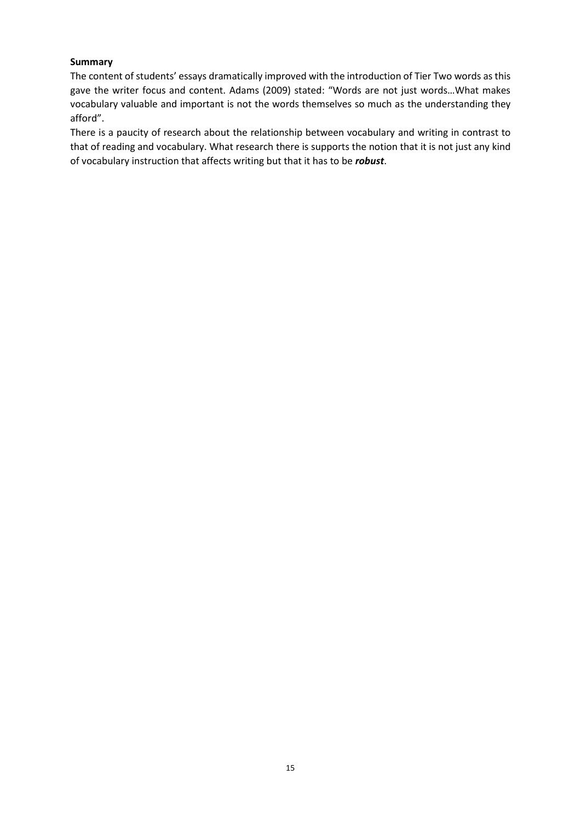## **Summary**

The content of students' essays dramatically improved with the introduction of Tier Two words as this gave the writer focus and content. Adams (2009) stated: "Words are not just words…What makes vocabulary valuable and important is not the words themselves so much as the understanding they afford".

There is a paucity of research about the relationship between vocabulary and writing in contrast to that of reading and vocabulary. What research there is supports the notion that it is not just any kind of vocabulary instruction that affects writing but that it has to be *robust*.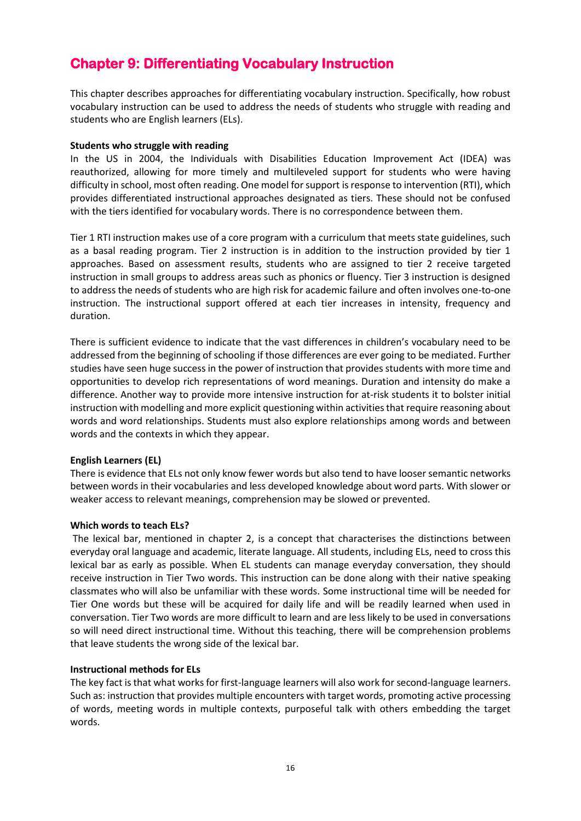## **Chapter 9: Differentiating Vocabulary Instruction**

This chapter describes approaches for differentiating vocabulary instruction. Specifically, how robust vocabulary instruction can be used to address the needs of students who struggle with reading and students who are English learners (ELs).

#### **Students who struggle with reading**

In the US in 2004, the Individuals with Disabilities Education Improvement Act (IDEA) was reauthorized, allowing for more timely and multileveled support for students who were having difficulty in school, most often reading. One model for support is response to intervention (RTI), which provides differentiated instructional approaches designated as tiers. These should not be confused with the tiers identified for vocabulary words. There is no correspondence between them.

Tier 1 RTI instruction makes use of a core program with a curriculum that meets state guidelines, such as a basal reading program. Tier 2 instruction is in addition to the instruction provided by tier 1 approaches. Based on assessment results, students who are assigned to tier 2 receive targeted instruction in small groups to address areas such as phonics or fluency. Tier 3 instruction is designed to address the needs of students who are high risk for academic failure and often involves one-to-one instruction. The instructional support offered at each tier increases in intensity, frequency and duration.

There is sufficient evidence to indicate that the vast differences in children's vocabulary need to be addressed from the beginning of schooling if those differences are ever going to be mediated. Further studies have seen huge success in the power of instruction that provides students with more time and opportunities to develop rich representations of word meanings. Duration and intensity do make a difference. Another way to provide more intensive instruction for at-risk students it to bolster initial instruction with modelling and more explicit questioning within activities that require reasoning about words and word relationships. Students must also explore relationships among words and between words and the contexts in which they appear.

#### **English Learners (EL)**

There is evidence that ELs not only know fewer words but also tend to have looser semantic networks between words in their vocabularies and less developed knowledge about word parts. With slower or weaker access to relevant meanings, comprehension may be slowed or prevented.

#### **Which words to teach ELs?**

The lexical bar, mentioned in chapter 2, is a concept that characterises the distinctions between everyday oral language and academic, literate language. All students, including ELs, need to cross this lexical bar as early as possible. When EL students can manage everyday conversation, they should receive instruction in Tier Two words. This instruction can be done along with their native speaking classmates who will also be unfamiliar with these words. Some instructional time will be needed for Tier One words but these will be acquired for daily life and will be readily learned when used in conversation. Tier Two words are more difficult to learn and are less likely to be used in conversations so will need direct instructional time. Without this teaching, there will be comprehension problems that leave students the wrong side of the lexical bar.

#### **Instructional methods for ELs**

The key fact is that what works for first-language learners will also work for second-language learners. Such as: instruction that provides multiple encounters with target words, promoting active processing of words, meeting words in multiple contexts, purposeful talk with others embedding the target words.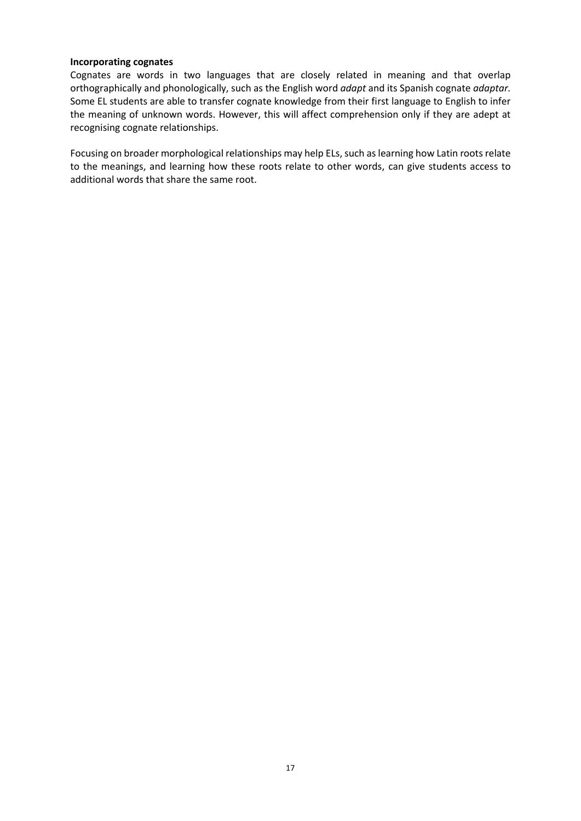#### **Incorporating cognates**

Cognates are words in two languages that are closely related in meaning and that overlap orthographically and phonologically, such as the English word *adapt* and its Spanish cognate *adaptar.* Some EL students are able to transfer cognate knowledge from their first language to English to infer the meaning of unknown words. However, this will affect comprehension only if they are adept at recognising cognate relationships.

Focusing on broader morphological relationships may help ELs, such as learning how Latin roots relate to the meanings, and learning how these roots relate to other words, can give students access to additional words that share the same root.